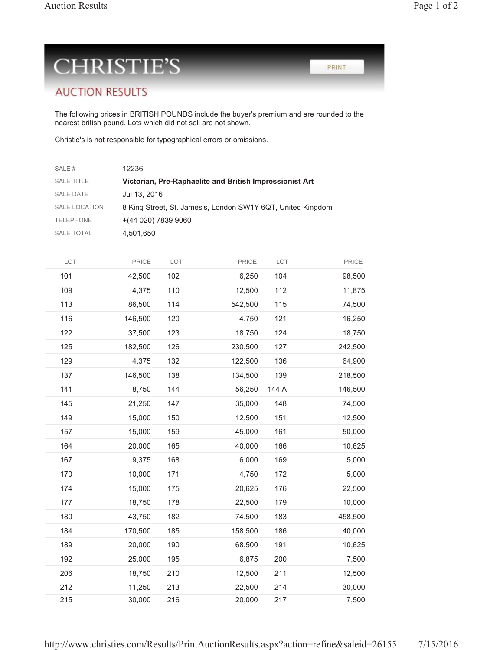PRINT

## **CHRISTIE'S**

## **AUCTION RESULTS**

The following prices in BRITISH POUNDS include the buyer's premium and are rounded to the nearest british pound. Lots which did not sell are not shown.

Christie's is not responsible for typographical errors or omissions.

| SALE#                | 12236                                                       |     |         |       |         |  |  |  |
|----------------------|-------------------------------------------------------------|-----|---------|-------|---------|--|--|--|
| SALE TITLE           | Victorian, Pre-Raphaelite and British Impressionist Art     |     |         |       |         |  |  |  |
| SALE DATE            | Jul 13, 2016                                                |     |         |       |         |  |  |  |
| <b>SALE LOCATION</b> | 8 King Street, St. James's, London SW1Y 6QT, United Kingdom |     |         |       |         |  |  |  |
| <b>TELEPHONE</b>     | +(44 020) 7839 9060                                         |     |         |       |         |  |  |  |
| SALE TOTAL           | 4,501,650                                                   |     |         |       |         |  |  |  |
|                      |                                                             |     |         |       |         |  |  |  |
| LOT                  | PRICE                                                       | LOT | PRICE   | LOT   | PRICE   |  |  |  |
| 101                  | 42,500                                                      | 102 | 6,250   | 104   | 98,500  |  |  |  |
| 109                  | 4,375                                                       | 110 | 12,500  | 112   | 11,875  |  |  |  |
| 113                  | 86,500                                                      | 114 | 542,500 | 115   | 74,500  |  |  |  |
| 116                  | 146,500                                                     | 120 | 4,750   | 121   | 16,250  |  |  |  |
| 122                  | 37,500                                                      | 123 | 18,750  | 124   | 18,750  |  |  |  |
| 125                  | 182,500                                                     | 126 | 230,500 | 127   | 242,500 |  |  |  |
| 129                  | 4,375                                                       | 132 | 122,500 | 136   | 64,900  |  |  |  |
| 137                  | 146,500                                                     | 138 | 134,500 | 139   | 218,500 |  |  |  |
| 141                  | 8,750                                                       | 144 | 56,250  | 144 A | 146,500 |  |  |  |
| 145                  | 21,250                                                      | 147 | 35,000  | 148   | 74,500  |  |  |  |
| 149                  | 15,000                                                      | 150 | 12,500  | 151   | 12,500  |  |  |  |
| 157                  | 15,000                                                      | 159 | 45,000  | 161   | 50,000  |  |  |  |
| 164                  | 20,000                                                      | 165 | 40,000  | 166   | 10,625  |  |  |  |
| 167                  | 9,375                                                       | 168 | 6,000   | 169   | 5,000   |  |  |  |
| 170                  | 10,000                                                      | 171 | 4,750   | 172   | 5,000   |  |  |  |
| 174                  | 15,000                                                      | 175 | 20,625  | 176   | 22,500  |  |  |  |
| 177                  | 18,750                                                      | 178 | 22,500  | 179   | 10,000  |  |  |  |
| 180                  | 43,750                                                      | 182 | 74,500  | 183   | 458,500 |  |  |  |
| 184                  | 170,500                                                     | 185 | 158,500 | 186   | 40,000  |  |  |  |
| 189                  | 20,000                                                      | 190 | 68,500  | 191   | 10,625  |  |  |  |
| 192                  | 25,000                                                      | 195 | 6,875   | 200   | 7,500   |  |  |  |
| 206                  | 18,750                                                      | 210 | 12,500  | 211   | 12,500  |  |  |  |
| 212                  | 11,250                                                      | 213 | 22,500  | 214   | 30,000  |  |  |  |
| 215                  | 30,000                                                      | 216 | 20,000  | 217   | 7,500   |  |  |  |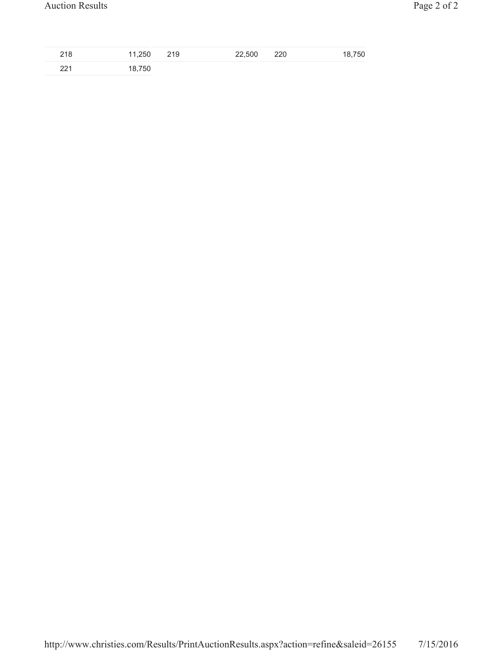| 218 | 11,250 219 | 22,500 | 220 | 18,750 |
|-----|------------|--------|-----|--------|
| 221 | 18,750     |        |     |        |